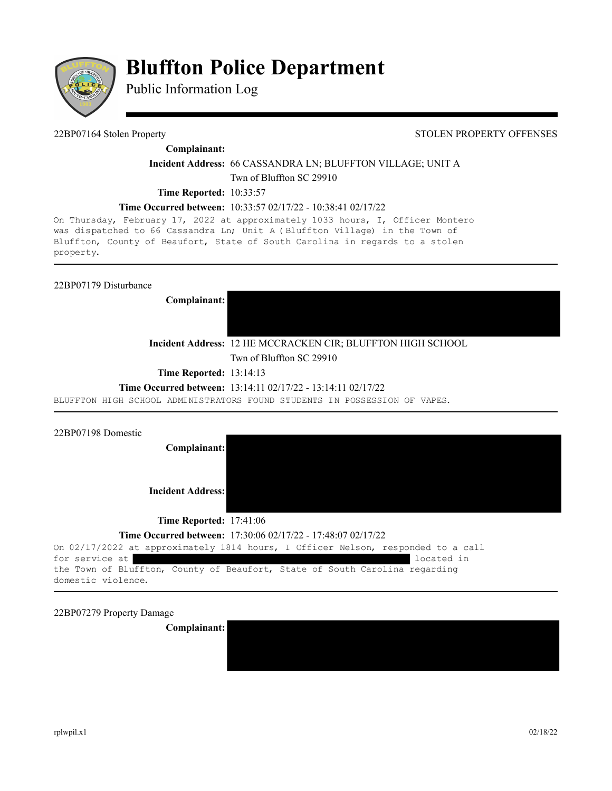

**Bluffton Police Department**

Public Information Log

# 22BP07164 Stolen Property STOLEN PROPERTY OFFENSES

# **Complainant:**

**Incident Address:** 66 CASSANDRA LN; BLUFFTON VILLAGE; UNIT A

Twn of Bluffton SC 29910

**Time Reported:** 10:33:57

#### **Time Occurred between:** 10:33:57 02/17/22 - 10:38:41 02/17/22

On Thursday, February 17, 2022 at approximately 1033 hours, I, Officer Montero was dispatched to 66 Cassandra Ln; Unit A (Bluffton Village) in the Town of Bluffton, County of Beaufort, State of South Carolina in regards to a stolen property.

22BP07179 Disturbance

**Complainant:** 

**Incident Address:** 12 HE MCCRACKEN CIR; BLUFFTON HIGH SCHOOL

Twn of Bluffton SC 29910

**Time Reported:** 13:14:13

### **Time Occurred between:** 13:14:11 02/17/22 - 13:14:11 02/17/22

BLUFFTON HIGH SCHOOL ADMINISTRATORS FOUND STUDENTS IN POSSESSION OF VAPES.

22BP07198 Domestic

**Complainant: Incident Address:**

**Time Reported:** 17:41:06

# **Time Occurred between:** 17:30:06 02/17/22 - 17:48:07 02/17/22

On 02/17/2022 at approximately 1814 hours, I Officer Nelson, responded to a call for service at located in the Town of Bluffton, County of Beaufort, State of South Carolina regarding domestic violence.

22BP07279 Property Damage

**Complainant:**